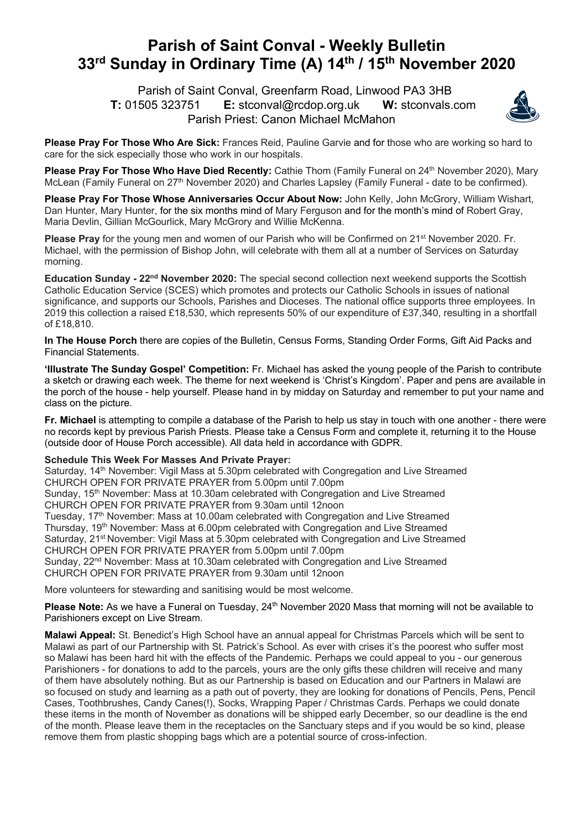## **Parish of Saint Conval - Weekly Bulletin 33rd Sunday in Ordinary Time (A) 14th / 15th November 2020**

 Parish of Saint Conval, Greenfarm Road, Linwood PA3 3HB **T:** 01505 323751 **E:** stconval@rcdop.org.uk **W:** stconvals.com Parish Priest: Canon Michael McMahon



**Please Pray For Those Who Are Sick:** Frances Reid, Pauline Garvie and for those who are working so hard to care for the sick especially those who work in our hospitals.

Please Pray For Those Who Have Died Recently: Cathie Thom (Family Funeral on 24<sup>th</sup> November 2020), Marv McLean (Family Funeral on 27<sup>th</sup> November 2020) and Charles Lapsley (Family Funeral - date to be confirmed).

**Please Pray For Those Whose Anniversaries Occur About Now:** John Kelly, John McGrory, William Wishart, Dan Hunter, Mary Hunter, for the six months mind of Mary Ferguson and for the month's mind of Robert Gray, Maria Devlin, Gillian McGourlick, Mary McGrory and Willie McKenna.

**Please Pray** for the young men and women of our Parish who will be Confirmed on 21<sup>st</sup> November 2020. Fr. Michael, with the permission of Bishop John, will celebrate with them all at a number of Services on Saturday morning.

**Education Sunday - 22nd November 2020:** The special second collection next weekend supports the Scottish Catholic Education Service (SCES) which promotes and protects our Catholic Schools in issues of national significance, and supports our Schools, Parishes and Dioceses. The national office supports three employees. In 2019 this collection a raised £18,530, which represents 50% of our expenditure of £37,340, resulting in a shortfall of £18,810.

**In The House Porch** there are copies of the Bulletin, Census Forms, Standing Order Forms, Gift Aid Packs and Financial Statements.

**'Illustrate The Sunday Gospel' Competition:** Fr. Michael has asked the young people of the Parish to contribute a sketch or drawing each week. The theme for next weekend is 'Christ's Kingdom'. Paper and pens are available in the porch of the house - help yourself. Please hand in by midday on Saturday and remember to put your name and class on the picture.

**Fr. Michael** is attempting to compile a database of the Parish to help us stay in touch with one another - there were no records kept by previous Parish Priests. Please take a Census Form and complete it, returning it to the House (outside door of House Porch accessible). All data held in accordance with GDPR.

## **Schedule This Week For Masses And Private Prayer:**

Saturday, 14<sup>th</sup> November: Vigil Mass at 5.30pm celebrated with Congregation and Live Streamed CHURCH OPEN FOR PRIVATE PRAYER from 5.00pm until 7.00pm Sunday, 15<sup>th</sup> November: Mass at 10.30am celebrated with Congregation and Live Streamed CHURCH OPEN FOR PRIVATE PRAYER from 9.30am until 12noon Tuesday, 17<sup>th</sup> November: Mass at 10.00am celebrated with Congregation and Live Streamed Thursday, 19th November: Mass at 6.00pm celebrated with Congregation and Live Streamed Saturday, 21<sup>st</sup> November: Vigil Mass at 5.30pm celebrated with Congregation and Live Streamed CHURCH OPEN FOR PRIVATE PRAYER from 5.00pm until 7.00pm Sunday, 22<sup>nd</sup> November: Mass at 10.30am celebrated with Congregation and Live Streamed CHURCH OPEN FOR PRIVATE PRAYER from 9.30am until 12noon

More volunteers for stewarding and sanitising would be most welcome.

Please Note: As we have a Funeral on Tuesday, 24<sup>th</sup> November 2020 Mass that morning will not be available to Parishioners except on Live Stream.

**Malawi Appeal:** St. Benedict's High School have an annual appeal for Christmas Parcels which will be sent to Malawi as part of our Partnership with St. Patrick's School. As ever with crises it's the poorest who suffer most so Malawi has been hard hit with the effects of the Pandemic. Perhaps we could appeal to you - our generous Parishioners - for donations to add to the parcels, yours are the only gifts these children will receive and many of them have absolutely nothing. But as our Partnership is based on Education and our Partners in Malawi are so focused on study and learning as a path out of poverty, they are looking for donations of Pencils, Pens, Pencil Cases, Toothbrushes, Candy Canes(!), Socks, Wrapping Paper / Christmas Cards. Perhaps we could donate these items in the month of November as donations will be shipped early December, so our deadline is the end of the month. Please leave them in the receptacles on the Sanctuary steps and if you would be so kind, please remove them from plastic shopping bags which are a potential source of cross-infection.